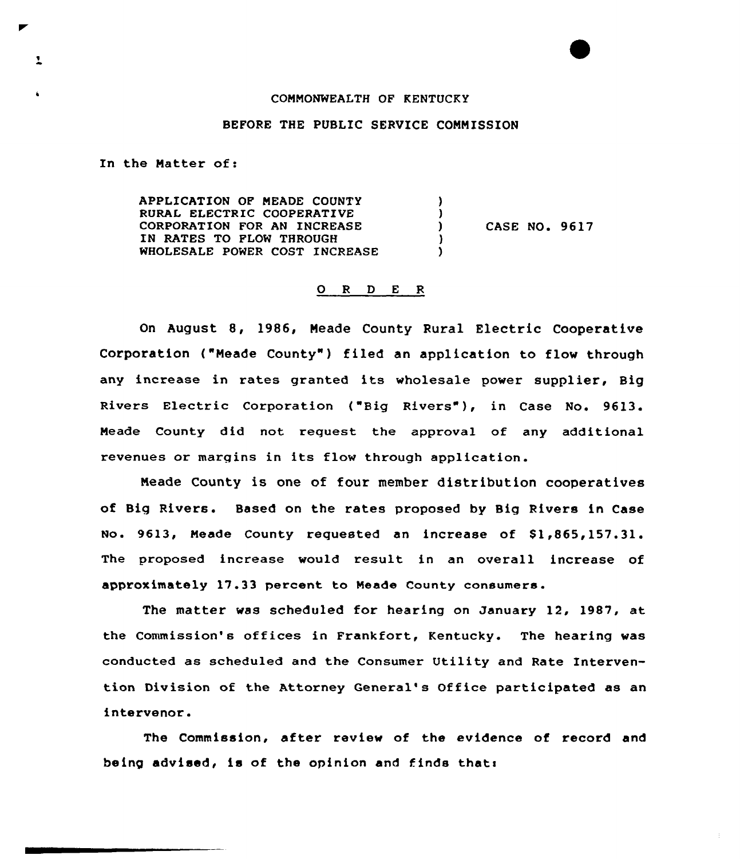## CONNONWEALTH OF KENTUCKY

## BEFORE THE PUBLIC SERVICE CONNISSION

In the Natter of:

 $\mathbf{L}$ 

APPLICATION OP NEADE COUNTY  $\lambda$ RURAL ELECTRIC COOPERATIVE J. CORPORATION FOR AN INCREASE  $\mathbf{I}$ CASE NO. 9617 IN RATES TO PLOW THROUGH -1 WHOLESALE POWER COST INCREASE A.

## 0 <sup>R</sup> <sup>D</sup> <sup>E</sup> <sup>R</sup>

On August 8, 1986, Neade County Rural Electric Cooperative Corporation ("Meade County") filed an application to flow through any increase in rates granted its wholesale power supplier, Big Rivers Electric Corporation ("Big Rivers"), in Case No. 9613. Meade County did not request the approval of any additional revenues or margins in its flow through application.

Neade County is one of four member distribution cooperatives of Big Rivers. Based on the rates proposed by Big Rivers in Case No. 9613, Meade County requested an increase of \$1,865,157.31. The proposed increase would result in an overall increase of approximately 17.33 percent to Neade County consumers.

The matter was scheduled for hearing on January 12, 1987, at the Commission's offices in Frankfort, Kentucky. The hearing was conducted as scheduled and the Consumer Utility and Rate Intervention Division of the Attorney General's Office participated as an intervenor.

The Commission, after review of the evidence of record and being advised, is of the opinion and finds thats